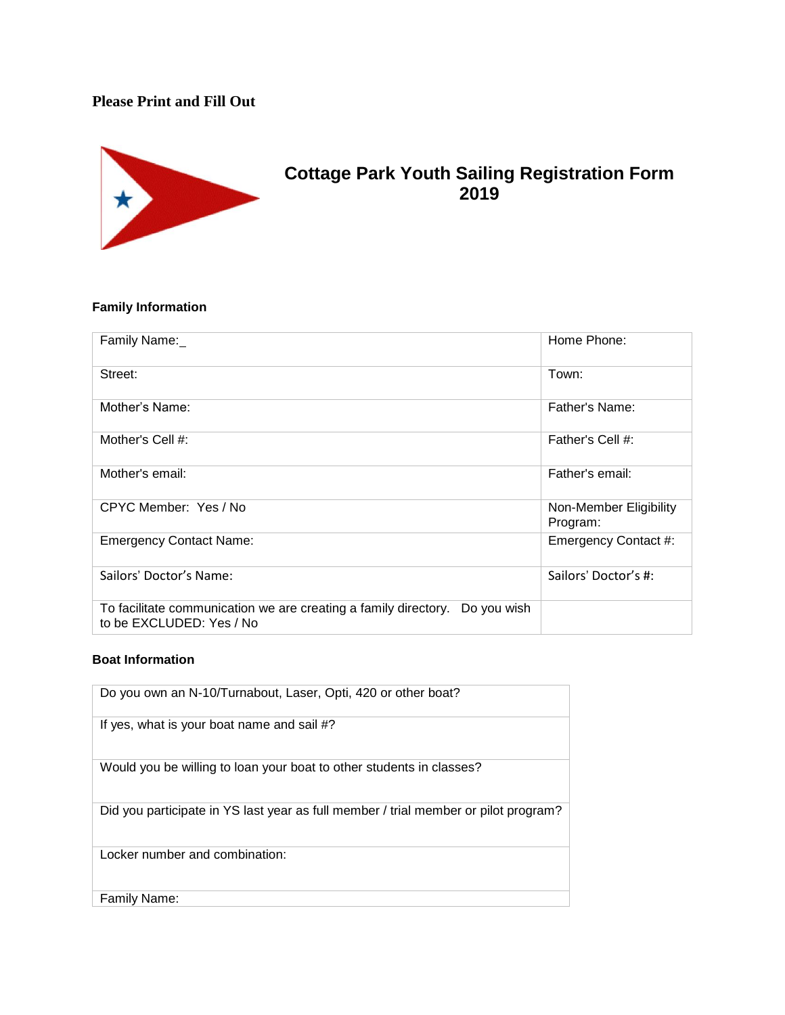## **Please Print and Fill Out**



# **Cottage Park Youth Sailing Registration Form 2019**

## **Family Information**

| Family Name:                                                                                             | Home Phone:                        |
|----------------------------------------------------------------------------------------------------------|------------------------------------|
| Street:                                                                                                  | Town:                              |
| Mother's Name:                                                                                           | Father's Name:                     |
| Mother's Cell #:                                                                                         | Father's Cell #:                   |
| Mother's email:                                                                                          | Father's email:                    |
| CPYC Member: Yes / No                                                                                    | Non-Member Eligibility<br>Program: |
| <b>Emergency Contact Name:</b>                                                                           | Emergency Contact #:               |
| Sailors' Doctor's Name:                                                                                  | Sailors' Doctor's #:               |
| To facilitate communication we are creating a family directory.  Do you wish<br>to be EXCLUDED: Yes / No |                                    |

### **Boat Information**

| Do you own an N-10/Turnabout, Laser, Opti, 420 or other boat?                       |
|-------------------------------------------------------------------------------------|
| If yes, what is your boat name and sail #?                                          |
| Would you be willing to loan your boat to other students in classes?                |
| Did you participate in YS last year as full member / trial member or pilot program? |
| Locker number and combination:                                                      |
| Family Name:                                                                        |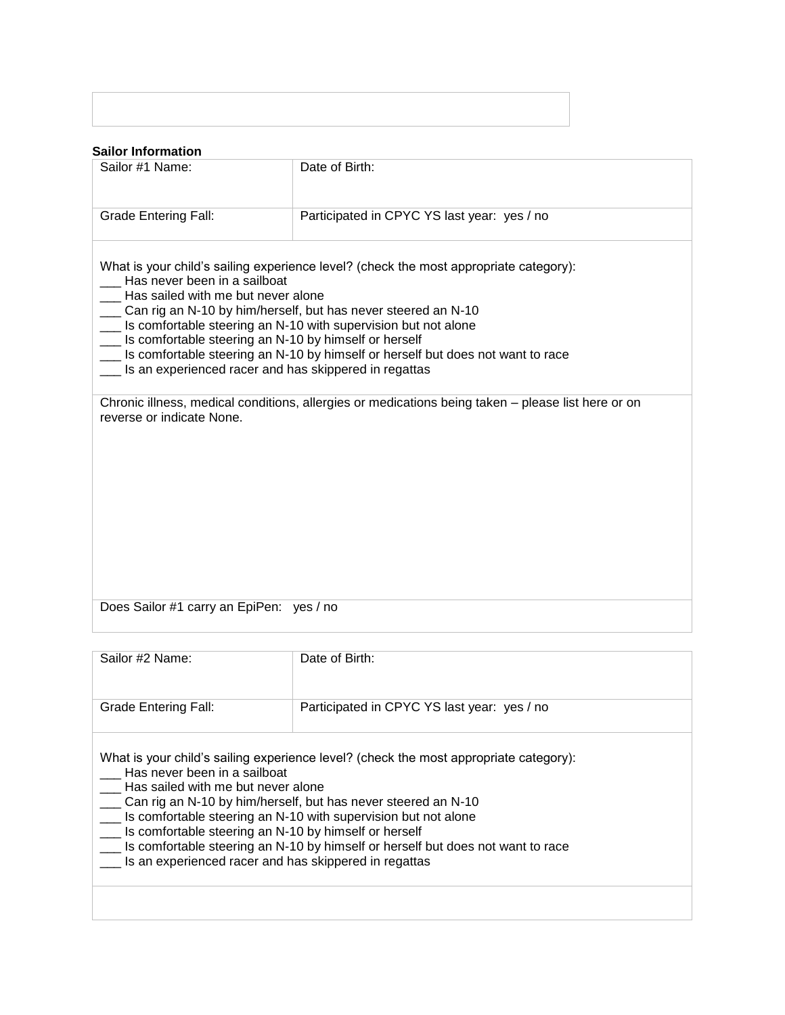#### **Sailor Information**

| <b>Janor Information</b>                                                                                                                                                                                         |                                                                                                                                                                                                                                                                                                                |
|------------------------------------------------------------------------------------------------------------------------------------------------------------------------------------------------------------------|----------------------------------------------------------------------------------------------------------------------------------------------------------------------------------------------------------------------------------------------------------------------------------------------------------------|
| Sailor #1 Name:                                                                                                                                                                                                  | Date of Birth:                                                                                                                                                                                                                                                                                                 |
| <b>Grade Entering Fall:</b>                                                                                                                                                                                      | Participated in CPYC YS last year: yes / no                                                                                                                                                                                                                                                                    |
| Has never been in a sailboat<br>Has sailed with me but never alone<br>$\overline{\phantom{a}}$<br>Is comfortable steering an N-10 by himself or herself<br>Is an experienced racer and has skippered in regattas | What is your child's sailing experience level? (check the most appropriate category):<br>__ Can rig an N-10 by him/herself, but has never steered an N-10<br>Is comfortable steering an N-10 with supervision but not alone<br>Is comfortable steering an N-10 by himself or herself but does not want to race |
| reverse or indicate None.                                                                                                                                                                                        | Chronic illness, medical conditions, allergies or medications being taken – please list here or on                                                                                                                                                                                                             |
| Does Sailor #1 carry an EpiPen: yes / no                                                                                                                                                                         |                                                                                                                                                                                                                                                                                                                |
|                                                                                                                                                                                                                  |                                                                                                                                                                                                                                                                                                                |

| Sailor #2 Name:<br>Grade Entering Fall:                                                                                                                                                                                                                                                                                        | Date of Birth:<br>Participated in CPYC YS last year: yes / no                                                                                                            |
|--------------------------------------------------------------------------------------------------------------------------------------------------------------------------------------------------------------------------------------------------------------------------------------------------------------------------------|--------------------------------------------------------------------------------------------------------------------------------------------------------------------------|
| Has never been in a sailboat<br>Has sailed with me but never alone<br>___ Can rig an N-10 by him/herself, but has never steered an N-10<br>Is comfortable steering an N-10 with supervision but not alone<br>__ Is comfortable steering an N-10 by himself or herself<br>Is an experienced racer and has skippered in regattas | What is your child's sailing experience level? (check the most appropriate category):<br>Is comfortable steering an N-10 by himself or herself but does not want to race |
|                                                                                                                                                                                                                                                                                                                                |                                                                                                                                                                          |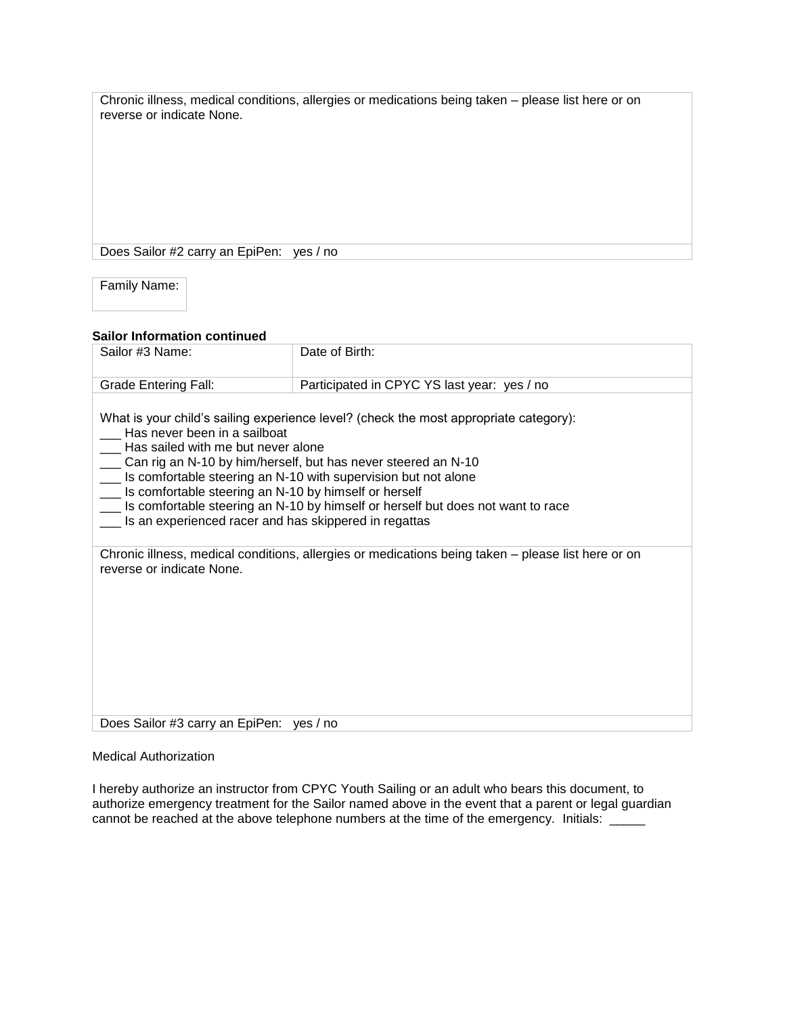Chronic illness, medical conditions, allergies or medications being taken – please list here or on reverse or indicate None.

Does Sailor #2 carry an EpiPen: yes / no

Family Name:

#### **Sailor Information continued**

| Sailor #3 Name:                                                                                                                                                                                                                                                                                                         | Date of Birth:                                                                                                                                                           |
|-------------------------------------------------------------------------------------------------------------------------------------------------------------------------------------------------------------------------------------------------------------------------------------------------------------------------|--------------------------------------------------------------------------------------------------------------------------------------------------------------------------|
| <b>Grade Entering Fall:</b>                                                                                                                                                                                                                                                                                             | Participated in CPYC YS last year: yes / no                                                                                                                              |
| Has never been in a sailboat<br>Has sailed with me but never alone<br>Can rig an N-10 by him/herself, but has never steered an N-10<br>Is comfortable steering an N-10 with supervision but not alone<br>Is comfortable steering an N-10 by himself or herself<br>Is an experienced racer and has skippered in regattas | What is your child's sailing experience level? (check the most appropriate category):<br>Is comfortable steering an N-10 by himself or herself but does not want to race |
| reverse or indicate None.                                                                                                                                                                                                                                                                                               | Chronic illness, medical conditions, allergies or medications being taken - please list here or on                                                                       |
| Does Sailor #3 carry an EpiPen: yes / no                                                                                                                                                                                                                                                                                |                                                                                                                                                                          |

#### Medical Authorization

I hereby authorize an instructor from CPYC Youth Sailing or an adult who bears this document, to authorize emergency treatment for the Sailor named above in the event that a parent or legal guardian cannot be reached at the above telephone numbers at the time of the emergency. Initials: